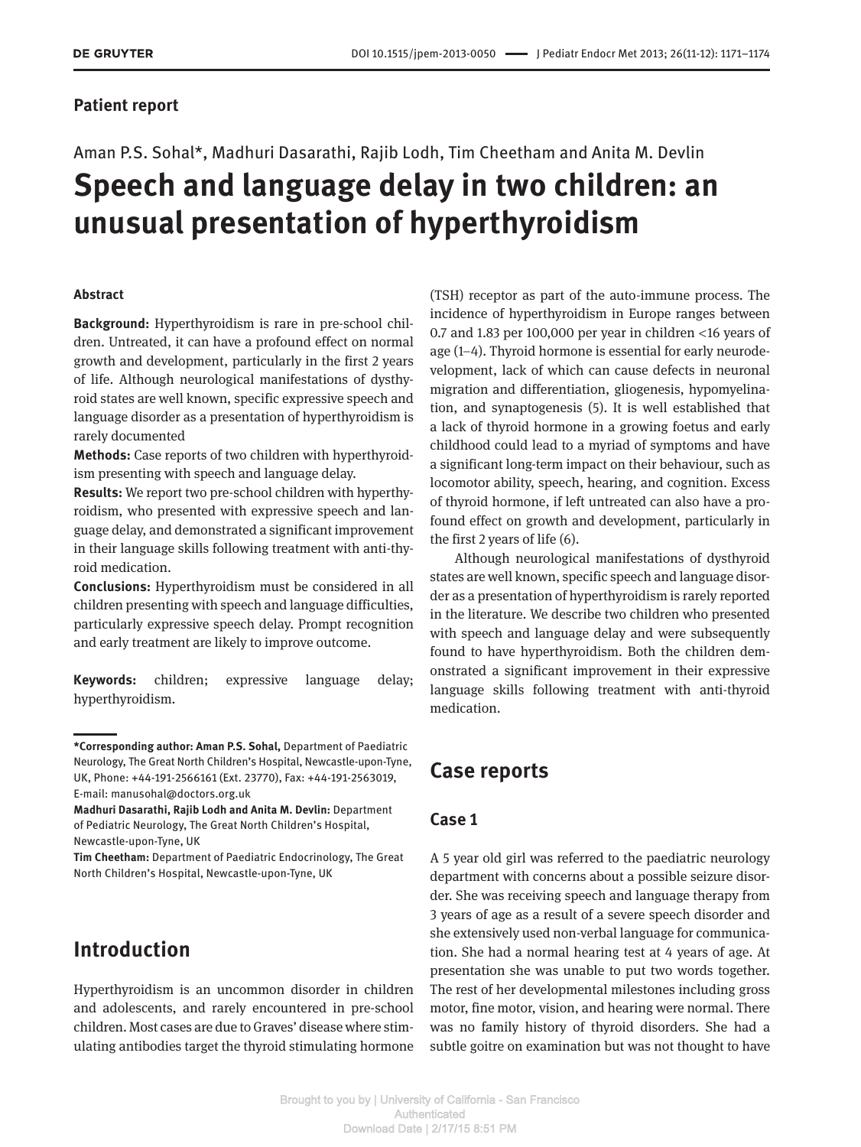### **Patient report**

# Aman P.S. Sohal\*, Madhuri Dasarathi, Rajib Lodh, Tim Cheetham and Anita M. Devlin **Speech and language delay in two children: an unusual presentation of hyperthyroidism**

#### **Abstract**

**Background:** Hyperthyroidism is rare in pre-school children. Untreated, it can have a profound effect on normal growth and development, particularly in the first 2 years of life. Although neurological manifestations of dysthyroid states are well known, specific expressive speech and language disorder as a presentation of hyperthyroidism is rarely documented

**Methods:** Case reports of two children with hyperthyroidism presenting with speech and language delay.

**Results:** We report two pre-school children with hyperthyroidism, who presented with expressive speech and language delay, and demonstrated a significant improvement in their language skills following treatment with anti-thyroid medication.

**Conclusions:** Hyperthyroidism must be considered in all children presenting with speech and language difficulties, particularly expressive speech delay. Prompt recognition and early treatment are likely to improve outcome.

**Keywords:** children; expressive language delay; hyperthyroidism.

## **Introduction**

Hyperthyroidism is an uncommon disorder in children and adolescents, and rarely encountered in pre-school children. Most cases are due to Graves' disease where stimulating antibodies target the thyroid stimulating hormone

(TSH) receptor as part of the auto-immune process. The incidence of hyperthyroidism in Europe ranges between 0.7 and 1.83 per 100,000 per year in children  $<$ 16 years of age (1–4). Thyroid hormone is essential for early neurodevelopment, lack of which can cause defects in neuronal migration and differentiation, gliogenesis, hypomyelination, and synaptogenesis (5). It is well established that a lack of thyroid hormone in a growing foetus and early childhood could lead to a myriad of symptoms and have a significant long-term impact on their behaviour, such as locomotor ability, speech, hearing, and cognition. Excess of thyroid hormone, if left untreated can also have a profound effect on growth and development, particularly in the first 2 years of life (6).

Although neurological manifestations of dysthyroid states are well known, specific speech and language disorder as a presentation of hyperthyroidism is rarely reported in the literature. We describe two children who presented with speech and language delay and were subsequently found to have hyperthyroidism. Both the children demonstrated a significant improvement in their expressive language skills following treatment with anti-thyroid medication.

# **Case reports**

#### **Case 1**

A 5 year old girl was referred to the paediatric neurology department with concerns about a possible seizure disorder. She was receiving speech and language therapy from 3 years of age as a result of a severe speech disorder and she extensively used non-verbal language for communication. She had a normal hearing test at 4 years of age. At presentation she was unable to put two words together. The rest of her developmental milestones including gross motor, fine motor, vision, and hearing were normal. There was no family history of thyroid disorders. She had a subtle goitre on examination but was not thought to have

**<sup>\*</sup>Corresponding author: Aman P.S. Sohal,** Department of Paediatric Neurology, The Great North Children's Hospital, Newcastle-upon-Tyne, UK, Phone: +44-191-2566161 (Ext. 23770), Fax: +44-191-2563019, E-mail: manusohal@doctors.org.uk

**Madhuri Dasarathi, Rajib Lodh and Anita M. Devlin:** Department of Pediatric Neurology, The Great North Children's Hospital, Newcastle-upon-Tyne, UK

**Tim Cheetham:** Department of Paediatric Endocrinology, The Great North Children's Hospital, Newcastle-upon-Tyne, UK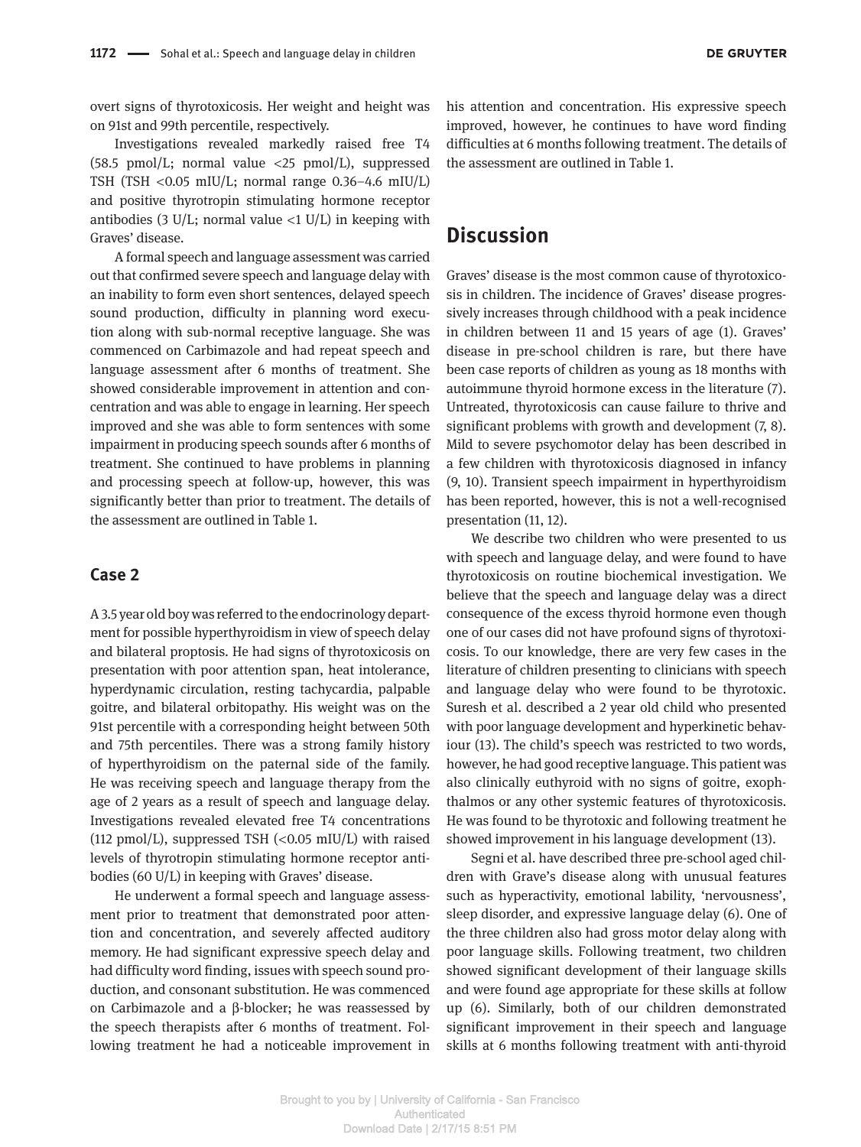overt signs of thyrotoxicosis. Her weight and height was on 91st and 99th percentile, respectively.

Investigations revealed markedly raised free T4 (58.5 pmol/L; normal value  $\langle 25 \text{ pmol/L} \rangle$ , suppressed TSH (TSH  $<$ 0.05 mIU/L; normal range 0.36–4.6 mIU/L) and positive thyrotropin stimulating hormone receptor antibodies (3 U/L; normal value  $\langle$ 1 U/L) in keeping with Graves' disease.

A formal speech and language assessment was carried out that confirmed severe speech and language delay with an inability to form even short sentences, delayed speech sound production, difficulty in planning word execution along with sub-normal receptive language. She was commenced on Carbimazole and had repeat speech and language assessment after 6 months of treatment. She showed considerable improvement in attention and concentration and was able to engage in learning. Her speech improved and she was able to form sentences with some impairment in producing speech sounds after 6 months of treatment. She continued to have problems in planning and processing speech at follow-up, however, this was significantly better than prior to treatment. The details of the assessment are outlined in Table 1.

#### **Case 2**

A 3.5 year old boy was referred to the endocrinology department for possible hyperthyroidism in view of speech delay and bilateral proptosis. He had signs of thyrotoxicosis on presentation with poor attention span, heat intolerance, hyperdynamic circulation, resting tachycardia, palpable goitre, and bilateral orbitopathy. His weight was on the 91st percentile with a corresponding height between 50th and 75th percentiles. There was a strong family history of hyperthyroidism on the paternal side of the family. He was receiving speech and language therapy from the age of 2 years as a result of speech and language delay. Investigations revealed elevated free T4 concentrations (112 pmol/L), suppressed TSH  $\left($ <0.05 mIU/L) with raised levels of thyrotropin stimulating hormone receptor antibodies (60 U/L) in keeping with Graves' disease.

He underwent a formal speech and language assessment prior to treatment that demonstrated poor attention and concentration, and severely affected auditory memory. He had significant expressive speech delay and had difficulty word finding, issues with speech sound production, and consonant substitution. He was commenced on Carbimazole and a β-blocker; he was reassessed by the speech therapists after 6 months of treatment. Following treatment he had a noticeable improvement in his attention and concentration. His expressive speech improved, however, he continues to have word finding difficulties at 6 months following treatment. The details of the assessment are outlined in Table 1.

### **Discussion**

Graves' disease is the most common cause of thyrotoxicosis in children. The incidence of Graves' disease progressively increases through childhood with a peak incidence in children between 11 and 15 years of age (1). Graves' disease in pre-school children is rare, but there have been case reports of children as young as 18 months with autoimmune thyroid hormone excess in the literature (7). Untreated, thyrotoxicosis can cause failure to thrive and significant problems with growth and development (7, 8). Mild to severe psychomotor delay has been described in a few children with thyrotoxicosis diagnosed in infancy (9, 10). Transient speech impairment in hyperthyroidism has been reported, however, this is not a well-recognised presentation (11, 12).

We describe two children who were presented to us with speech and language delay, and were found to have thyrotoxicosis on routine biochemical investigation. We believe that the speech and language delay was a direct consequence of the excess thyroid hormone even though one of our cases did not have profound signs of thyrotoxicosis. To our knowledge, there are very few cases in the literature of children presenting to clinicians with speech and language delay who were found to be thyrotoxic. Suresh et al. described a 2 year old child who presented with poor language development and hyperkinetic behaviour (13). The child's speech was restricted to two words, however, he had good receptive language. This patient was also clinically euthyroid with no signs of goitre, exophthalmos or any other systemic features of thyrotoxicosis. He was found to be thyrotoxic and following treatment he showed improvement in his language development (13).

Segni et al. have described three pre-school aged children with Grave's disease along with unusual features such as hyperactivity, emotional lability, 'nervousness', sleep disorder, and expressive language delay (6). One of the three children also had gross motor delay along with poor language skills. Following treatment, two children showed significant development of their language skills and were found age appropriate for these skills at follow up (6). Similarly, both of our children demonstrated significant improvement in their speech and language skills at 6 months following treatment with anti-thyroid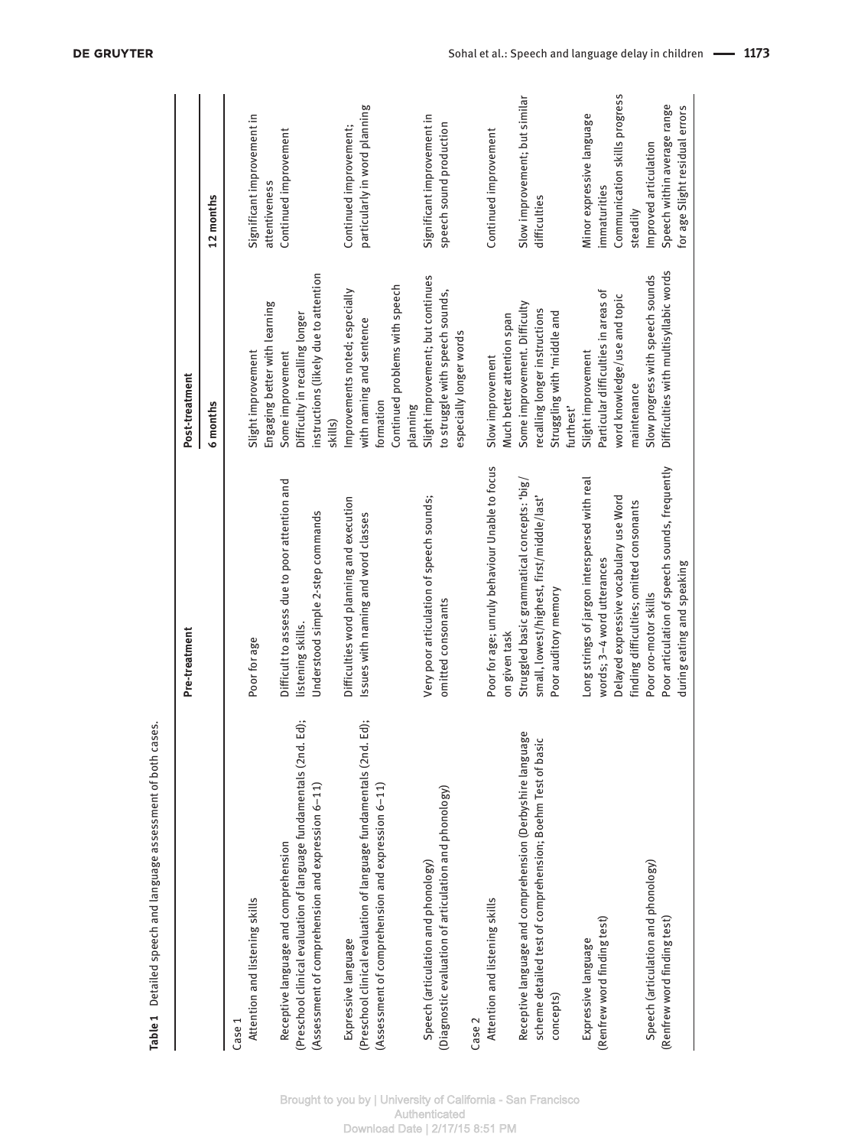|                                                                         | Pre-treatment                                  | Post-treatment                                   |                                |
|-------------------------------------------------------------------------|------------------------------------------------|--------------------------------------------------|--------------------------------|
|                                                                         |                                                | 6 months                                         | 12 months                      |
| Case 1                                                                  |                                                |                                                  |                                |
| Attention and listening skills                                          | Poor for age                                   | Slight improvement                               | Significant improvement in     |
|                                                                         |                                                | Engaging better with learning                    | attentiveness                  |
| Receptive language and comprehension                                    | Difficult to assess due to poor attention and  | Some improvement                                 | Continued improvement          |
| Ed);<br>(Preschool clinical evaluation of language fundamentals (2nd.   | listening skills.                              | Difficulty in recalling longer                   |                                |
| (Assessment of comprehension and expression 6-11)                       | Understood simple 2-step commands              | instructions (likely due to attention<br>skills) |                                |
| Expressive language                                                     | Difficulties word planning and execution       | Improvements noted; especially                   | Continued improvement;         |
| Ed);<br>(Preschool clinical evaluation of language fundamentals (2nd. I | Issues with naming and word classes            | with naming and sentence                         | particularly in word planning  |
| (Assessment of comprehension and expression 6-11)                       |                                                | formation                                        |                                |
|                                                                         |                                                | Continued problems with speech                   |                                |
|                                                                         |                                                | planning                                         |                                |
| Speech (articulation and phonology)                                     | Very poor articulation of speech sounds;       | Slight improvement; but continues                | Significant improvement in     |
| (Diagnostic evaluation of articulation and phonology)                   | omitted consonants                             | to struggle with speech sounds,                  | speech sound production        |
|                                                                         |                                                | especially longer words                          |                                |
| Case 2                                                                  |                                                |                                                  |                                |
| Attention and listening skills                                          | Poor for age; unruly behaviour Unable to focus | Slow improvement                                 | Continued improvement          |
|                                                                         | on given task                                  | Much better attention span                       |                                |
| Receptive language and comprehension (Derbyshire language               | Struggled basic grammatical concepts: 'big/    | Some improvement. Difficulty                     | Slow improvement; but similar  |
| scheme detailed test of comprehension; Boehm Test of basic              | small, lowest/highest, first/middle/last'      | recalling longer instructions                    | difficulties                   |
| concepts)                                                               | Poor auditory memory                           | Struggling with 'middle and                      |                                |
|                                                                         |                                                | furthest'                                        |                                |
| Expressive language                                                     | Long strings of jargon interspersed with real  | Slight improvement                               | Minor expressive language      |
| (Renfrew word finding test)                                             | words; 3-4 word utterances                     | Particular difficulties in areas of              | immaturities                   |
|                                                                         | Delayed expressive vocabulary use Word         | word knowledge/use and topic                     | Communication skills progress  |
|                                                                         | finding difficulties; omitted consonants       | maintenance                                      | steadily                       |
| Speech (articulation and phonology)                                     | Poor oro-motor skills                          | Slow progress with speech sounds                 | Improved articulation          |
| (Renfrew word finding test)                                             | Poor articulation of speech sounds, frequently | Difficulties with multisyllabic words            | Speech within average range    |
|                                                                         | during eating and speaking                     |                                                  | for age Slight residual errors |

**Table 1** Detailed speech and language assessment of both cases.

Table 1 Detailed speech and language assessment of both cases.